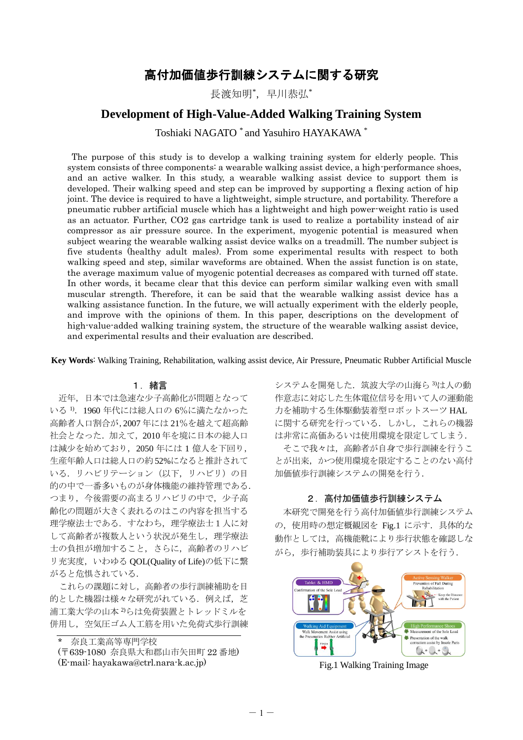# 高付加価値歩行訓練システムに関する研究

長渡知明\*,早川恭弘\*

## **Development of High-Value-Added Walking Training System**

Toshiaki NAGATO \* and Yasuhiro HAYAKAWA \*

The purpose of this study is to develop a walking training system for elderly people. This system consists of three components: a wearable walking assist device, a high-performance shoes, and an active walker. In this study, a wearable walking assist device to support them is developed. Their walking speed and step can be improved by supporting a flexing action of hip joint. The device is required to have a lightweight, simple structure, and portability. Therefore a pneumatic rubber artificial muscle which has a lightweight and high power-weight ratio is used as an actuator. Further, CO2 gas cartridge tank is used to realize a portability instead of air compressor as air pressure source. In the experiment, myogenic potential is measured when subject wearing the wearable walking assist device walks on a treadmill. The number subject is five students (healthy adult males). From some experimental results with respect to both walking speed and step, similar waveforms are obtained. When the assist function is on state, the average maximum value of myogenic potential decreases as compared with turned off state. In other words, it became clear that this device can perform similar walking even with small muscular strength. Therefore, it can be said that the wearable walking assist device has a walking assistance function. In the future, we will actually experiment with the elderly people, and improve with the opinions of them. In this paper, descriptions on the development of high-value-added walking training system, the structure of the wearable walking assist device, and experimental results and their evaluation are described.

**Key Words**: Walking Training, Rehabilitation, walking assist device, Air Pressure, Pneumatic Rubber Artificial Muscle

## 1.緒言

近年,日本では急速な少子高齢化が問題となって いる 1).1960 年代には総人口の 6%に満たなかった 高齢者人口割合が,2007 年には 21%を越えて超高齢 社会となった. 加えて、2010年を境に日本の総人口 は減少を始めており,2050 年には 1 億人を下回り, 生産年齢人口は総人口の約52%になると推計されて いる. リハビリテーション(以下, リハビリ)の目 的の中で一番多いものが身体機能の維持管理である. つまり,今後需要の高まるリハビリの中で,少子高 齢化の問題が大きく表れるのはこの内容を担当する 理学療法士である. すなわち、理学療法士1人に対 して高齢者が複数人という状況が発生し、理学療法 士の負担が増加すること,さらに,高齢者のリハビ リ充実度, いわゆる QOL(Quality of Life)の低下に繋 がると危惧されている.

これらの課題に対し,高齢者の歩行訓練補助を目 的とした機器は様々な研究がれている. 例えば、芝 浦工業大学の山本 2)らは免荷装置とトレッドミルを 併用し,空気圧ゴム人工筋を用いた免荷式歩行訓練

奈良工業高等専門学校

(〒639-1080 奈良県大和郡山市矢田町 22 番地) (E-mail: hayakawa@ctrl.nara-k.ac.jp)

システムを開発した.筑波大学の山海ら<sup>3</sup>)は人の動 作意志に対応した生体電位信号を用いて人の運動能 力を補助する生体駆動装着型ロボットスーツ HAL に関する研究を行っている.しかし,これらの機器 は非常に高価あるいは使用環境を限定してしまう.

そこで我々は,高齢者が自身で歩行訓練を行うこ とが出来,かつ使用環境を限定することのない高付 加価値歩行訓練システムの開発を行う.

#### 2. 高付加価値歩行訓練システム

本研究で開発を行う高付加価値歩行訓練システム の,使用時の想定概観図を Fig.1 に示す.具体的な 動作としては,高機能靴により歩行状態を確認しな がら,歩行補助装具により歩行アシストを行う.



Fig.1 Walking Training Image